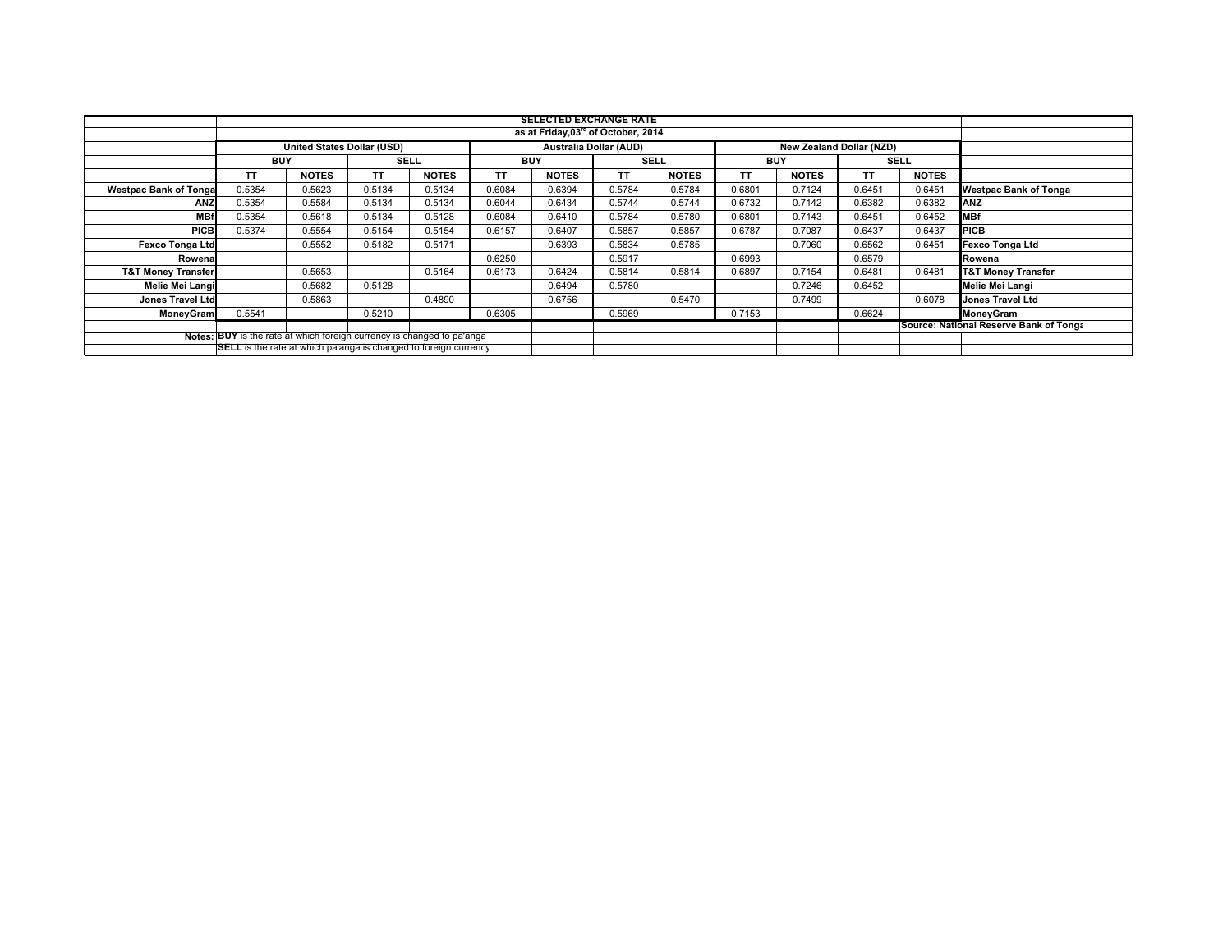|                                                                         | <b>SELECTED EXCHANGE RATE</b>                   |              |             |              |            |              |                                                           |              |                                        |              |             |              |                               |
|-------------------------------------------------------------------------|-------------------------------------------------|--------------|-------------|--------------|------------|--------------|-----------------------------------------------------------|--------------|----------------------------------------|--------------|-------------|--------------|-------------------------------|
|                                                                         | as at Friday, 03 <sup>rd</sup> of October, 2014 |              |             |              |            |              |                                                           |              |                                        |              |             |              |                               |
|                                                                         | United States Dollar (USD)                      |              |             |              |            |              | <b>Australia Dollar (AUD)</b><br>New Zealand Dollar (NZD) |              |                                        |              |             |              |                               |
|                                                                         | <b>BUY</b>                                      |              | <b>SELL</b> |              | <b>BUY</b> |              | <b>SELL</b>                                               |              | <b>BUY</b>                             |              | <b>SELL</b> |              |                               |
|                                                                         | TΤ                                              | <b>NOTES</b> | <b>TT</b>   | <b>NOTES</b> | TΤ         | <b>NOTES</b> | TΤ                                                        | <b>NOTES</b> | TΤ                                     | <b>NOTES</b> | TΤ          | <b>NOTES</b> |                               |
| <b>Westpac Bank of Tonga</b>                                            | 0.5354                                          | 0.5623       | 0.5134      | 0.5134       | 0.6084     | 0.6394       | 0.5784                                                    | 0.5784       | 0.6801                                 | 0.7124       | 0.6451      | 0.6451       | <b>Westpac Bank of Tonga</b>  |
| <b>ANZ</b>                                                              | 0.5354                                          | 0.5584       | 0.5134      | 0.5134       | 0.6044     | 0.6434       | 0.5744                                                    | 0.5744       | 0.6732                                 | 0.7142       | 0.6382      | 0.6382       | <b>ANZ</b>                    |
| <b>MBf</b>                                                              | 0.5354                                          | 0.5618       | 0.5134      | 0.5128       | 0.6084     | 0.6410       | 0.5784                                                    | 0.5780       | 0.6801                                 | 0.7143       | 0.6451      | 0.6452       | <b>MBf</b>                    |
| <b>PICB</b>                                                             | 0.5374                                          | 0.5554       | 0.5154      | 0.5154       | 0.6157     | 0.6407       | 0.5857                                                    | 0.5857       | 0.6787                                 | 0.7087       | 0.6437      | 0.6437       | <b>PICB</b>                   |
| <b>Fexco Tonga Ltd</b>                                                  |                                                 | 0.5552       | 0.5182      | 0.5171       |            | 0.6393       | 0.5834                                                    | 0.5785       |                                        | 0.7060       | 0.6562      | 0.6451       | <b>Fexco Tonga Ltd</b>        |
| Rowena                                                                  |                                                 |              |             |              | 0.6250     |              | 0.5917                                                    |              | 0.6993                                 |              | 0.6579      |              | Rowena                        |
| <b>T&amp;T Money Transfer</b>                                           |                                                 | 0.5653       |             | 0.5164       | 0.6173     | 0.6424       | 0.5814                                                    | 0.5814       | 0.6897                                 | 0.7154       | 0.6481      | 0.6481       | <b>T&amp;T Money Transfer</b> |
| Melie Mei Langi                                                         |                                                 | 0.5682       | 0.5128      |              |            | 0.6494       | 0.5780                                                    |              |                                        | 0.7246       | 0.6452      |              | <b>Melie Mei Langi</b>        |
| <b>Jones Travel Ltd</b>                                                 |                                                 | 0.5863       |             | 0.4890       |            | 0.6756       |                                                           | 0.5470       |                                        | 0.7499       |             | 0.6078       | <b>Jones Travel Ltd</b>       |
| MoneyGram                                                               | 0.5541                                          |              | 0.5210      |              | 0.6305     |              | 0.5969                                                    |              | 0.7153                                 |              | 0.6624      |              | MoneyGram                     |
|                                                                         |                                                 |              |             |              |            |              |                                                           |              | Source: National Reserve Bank of Tonga |              |             |              |                               |
| Notes: BUY is the rate at which foreign currency is changed to pa'ange  |                                                 |              |             |              |            |              |                                                           |              |                                        |              |             |              |                               |
| <b>SELL</b> is the rate at which pa'anga is changed to foreign currency |                                                 |              |             |              |            |              |                                                           |              |                                        |              |             |              |                               |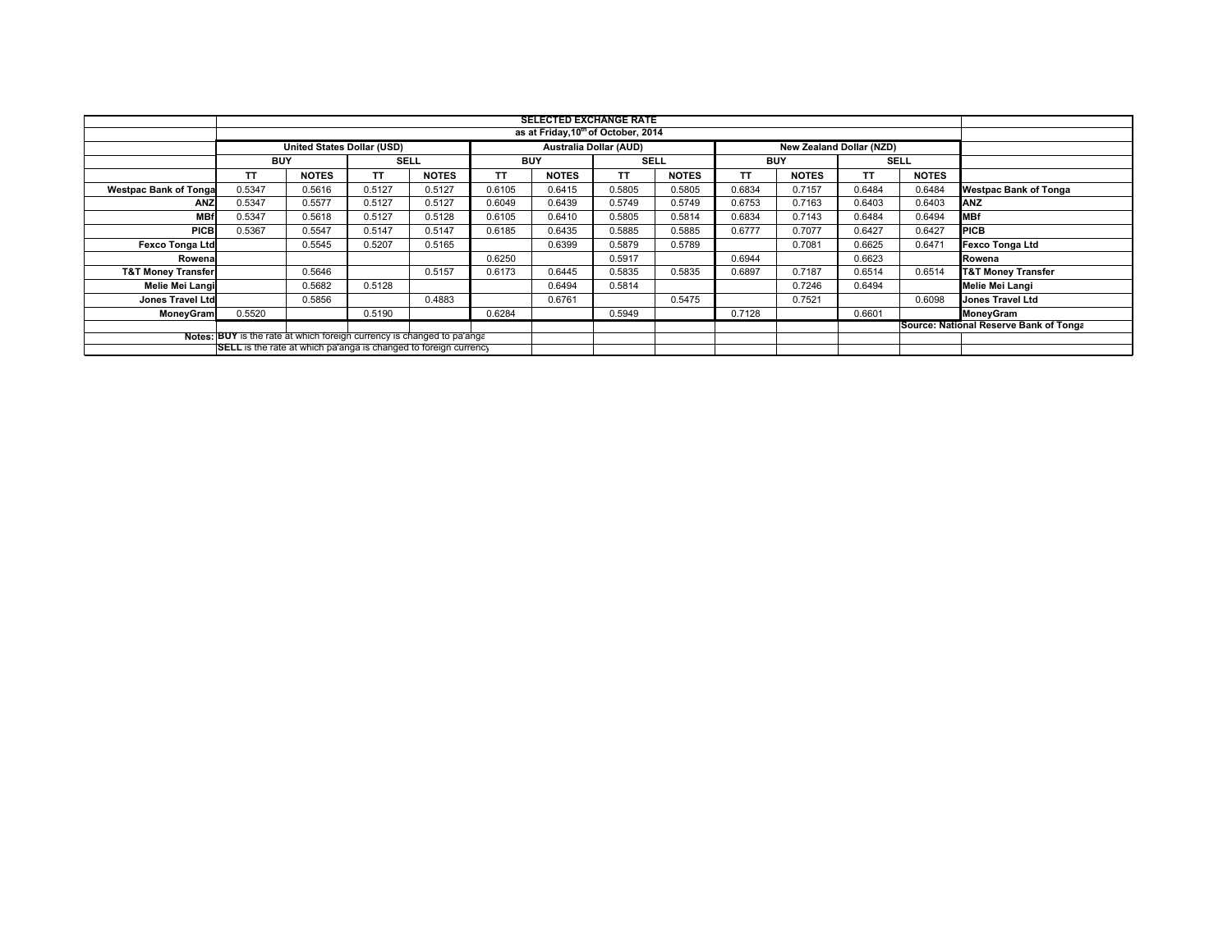|                                                                         | <b>SELECTED EXCHANGE RATE</b>                                          |              |             |              |            |              |                               |              |            |              |                                        |              |                               |  |
|-------------------------------------------------------------------------|------------------------------------------------------------------------|--------------|-------------|--------------|------------|--------------|-------------------------------|--------------|------------|--------------|----------------------------------------|--------------|-------------------------------|--|
|                                                                         | as at Friday, 10 <sup>th</sup> of October, 2014                        |              |             |              |            |              |                               |              |            |              |                                        |              |                               |  |
|                                                                         | United States Dollar (USD)                                             |              |             |              |            |              | <b>Australia Dollar (AUD)</b> |              |            |              | New Zealand Dollar (NZD)               |              |                               |  |
|                                                                         | <b>BUY</b>                                                             |              | <b>SELL</b> |              | <b>BUY</b> |              | <b>SELL</b>                   |              | <b>BUY</b> |              | <b>SELL</b>                            |              |                               |  |
|                                                                         | TΤ                                                                     | <b>NOTES</b> | ΤT          | <b>NOTES</b> | TΤ         | <b>NOTES</b> | TΤ                            | <b>NOTES</b> | TΤ         | <b>NOTES</b> | TΤ                                     | <b>NOTES</b> |                               |  |
| <b>Westpac Bank of Tonga</b>                                            | 0.5347                                                                 | 0.5616       | 0.5127      | 0.5127       | 0.6105     | 0.6415       | 0.5805                        | 0.5805       | 0.6834     | 0.7157       | 0.6484                                 | 0.6484       | <b>Westpac Bank of Tonga</b>  |  |
| <b>ANZ</b>                                                              | 0.5347                                                                 | 0.5577       | 0.5127      | 0.5127       | 0.6049     | 0.6439       | 0.5749                        | 0.5749       | 0.6753     | 0.7163       | 0.6403                                 | 0.6403       | <b>ANZ</b>                    |  |
| <b>MBf</b>                                                              | 0.5347                                                                 | 0.5618       | 0.5127      | 0.5128       | 0.6105     | 0.6410       | 0.5805                        | 0.5814       | 0.6834     | 0.7143       | 0.6484                                 | 0.6494       | <b>MBf</b>                    |  |
| <b>PICB</b>                                                             | 0.5367                                                                 | 0.5547       | 0.5147      | 0.5147       | 0.6185     | 0.6435       | 0.5885                        | 0.5885       | 0.6777     | 0.7077       | 0.6427                                 | 0.6427       | <b>PICB</b>                   |  |
| <b>Fexco Tonga Ltd</b>                                                  |                                                                        | 0.5545       | 0.5207      | 0.5165       |            | 0.6399       | 0.5879                        | 0.5789       |            | 0.7081       | 0.6625                                 | 0.6471       | <b>Fexco Tonga Ltd</b>        |  |
| Rowena                                                                  |                                                                        |              |             |              | 0.6250     |              | 0.5917                        |              | 0.6944     |              | 0.6623                                 |              | Rowena                        |  |
| <b>T&amp;T Money Transfer</b>                                           |                                                                        | 0.5646       |             | 0.5157       | 0.6173     | 0.6445       | 0.5835                        | 0.5835       | 0.6897     | 0.7187       | 0.6514                                 | 0.6514       | <b>T&amp;T Money Transfer</b> |  |
| Melie Mei Langi                                                         |                                                                        | 0.5682       | 0.5128      |              |            | 0.6494       | 0.5814                        |              |            | 0.7246       | 0.6494                                 |              | <b>Melie Mei Langi</b>        |  |
| <b>Jones Travel Ltd</b>                                                 |                                                                        | 0.5856       |             | 0.4883       |            | 0.6761       |                               | 0.5475       |            | 0.7521       |                                        | 0.6098       | <b>Jones Travel Ltd</b>       |  |
| MoneyGram                                                               | 0.5520                                                                 |              | 0.5190      |              | 0.6284     |              | 0.5949                        |              | 0.7128     |              | 0.6601                                 |              | MoneyGram                     |  |
|                                                                         |                                                                        |              |             |              |            |              |                               |              |            |              | Source: National Reserve Bank of Tonga |              |                               |  |
|                                                                         | Notes: BUY is the rate at which foreign currency is changed to pa'ange |              |             |              |            |              |                               |              |            |              |                                        |              |                               |  |
| <b>SELL</b> is the rate at which pa'anga is changed to foreign currency |                                                                        |              |             |              |            |              |                               |              |            |              |                                        |              |                               |  |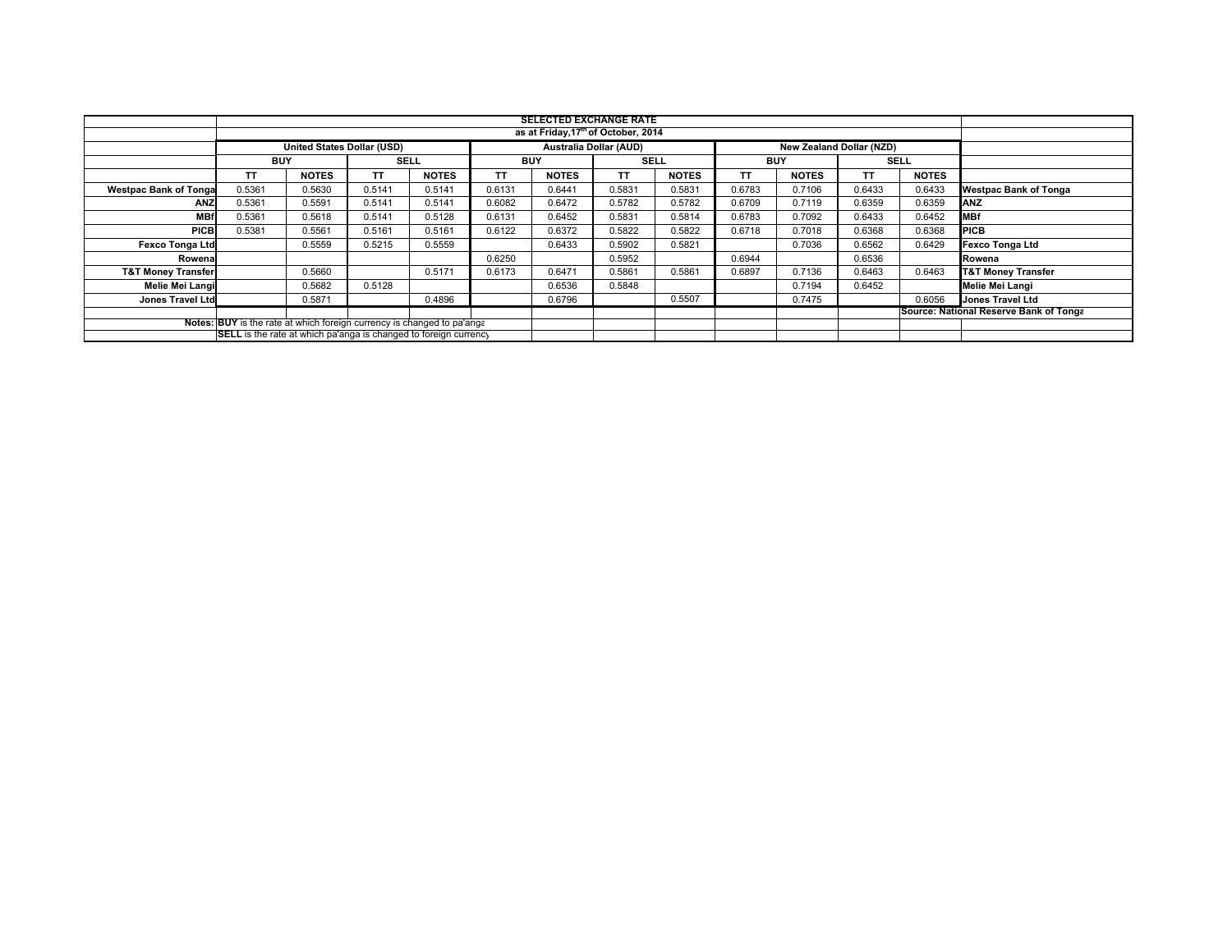|                                                                         | <b>SELECTED EXCHANGE RATE</b> |                                   |             |              |            |                               |             |              |            |                                 |             |              |                                        |
|-------------------------------------------------------------------------|-------------------------------|-----------------------------------|-------------|--------------|------------|-------------------------------|-------------|--------------|------------|---------------------------------|-------------|--------------|----------------------------------------|
| as at Friday, 17 <sup>th</sup> of October, 2014                         |                               |                                   |             |              |            |                               |             |              |            |                                 |             |              |                                        |
|                                                                         |                               | <b>United States Dollar (USD)</b> |             |              |            | <b>Australia Dollar (AUD)</b> |             |              |            | <b>New Zealand Dollar (NZD)</b> |             |              |                                        |
|                                                                         | <b>BUY</b>                    |                                   | <b>SELL</b> |              | <b>BUY</b> |                               | <b>SELL</b> |              | <b>BUY</b> |                                 | <b>SELL</b> |              |                                        |
|                                                                         | TΤ                            | <b>NOTES</b>                      | ΤT          | <b>NOTES</b> | <b>TT</b>  | <b>NOTES</b>                  | TΤ          | <b>NOTES</b> | <b>TT</b>  | <b>NOTES</b>                    | TΤ          | <b>NOTES</b> |                                        |
| <b>Westpac Bank of Tonga</b>                                            | 0.5361                        | 0.5630                            | 0.5141      | 0.5141       | 0.6131     | 0.6441                        | 0.5831      | 0.5831       | 0.6783     | 0.7106                          | 0.6433      | 0.6433       | <b>Westpac Bank of Tonga</b>           |
| ANZ                                                                     | 0.5361                        | 0.5591                            | 0.5141      | 0.5141       | 0.6082     | 0.6472                        | 0.5782      | 0.5782       | 0.6709     | 0.7119                          | 0.6359      | 0.6359       | ANZ                                    |
| <b>MBf</b>                                                              | 0.5361                        | 0.5618                            | 0.5141      | 0.5128       | 0.6131     | 0.6452                        | 0.5831      | 0.5814       | 0.6783     | 0.7092                          | 0.6433      | 0.6452       | <b>MBf</b>                             |
| <b>PICB</b>                                                             | 0.5381                        | 0.5561                            | 0.5161      | 0.5161       | 0.6122     | 0.6372                        | 0.5822      | 0.5822       | 0.6718     | 0.7018                          | 0.6368      | 0.6368       | <b>PICB</b>                            |
| <b>Fexco Tonga Ltd</b>                                                  |                               | 0.5559                            | 0.5215      | 0.5559       |            | 0.6433                        | 0.5902      | 0.5821       |            | 0.7036                          | 0.6562      | 0.6429       | <b>Fexco Tonga Ltd</b>                 |
| Rowena                                                                  |                               |                                   |             |              | 0.6250     |                               | 0.5952      |              | 0.6944     |                                 | 0.6536      |              | Rowena                                 |
| <b>T&amp;T Money Transfer</b>                                           |                               | 0.5660                            |             | 0.5171       | 0.6173     | 0.6471                        | 0.5861      | 0.5861       | 0.6897     | 0.7136                          | 0.6463      | 0.6463       | <b>T&amp;T Money Transfer</b>          |
| Melie Mei Langi                                                         |                               | 0.5682                            | 0.5128      |              |            | 0.6536                        | 0.5848      |              |            | 0.7194                          | 0.6452      |              | Melie Mei Langi                        |
| Jones Travel Ltd                                                        |                               | 0.5871                            |             | 0.4896       |            | 0.6796                        |             | 0.5507       |            | 0.7475                          |             | 0.6056       | Jones Travel Ltd                       |
|                                                                         |                               |                                   |             |              |            |                               |             |              |            |                                 |             |              | Source: National Reserve Bank of Tonga |
| Notes: BUY is the rate at which foreign currency is changed to pa'ange  |                               |                                   |             |              |            |                               |             |              |            |                                 |             |              |                                        |
| <b>SELL</b> is the rate at which pa'anga is changed to foreign currency |                               |                                   |             |              |            |                               |             |              |            |                                 |             |              |                                        |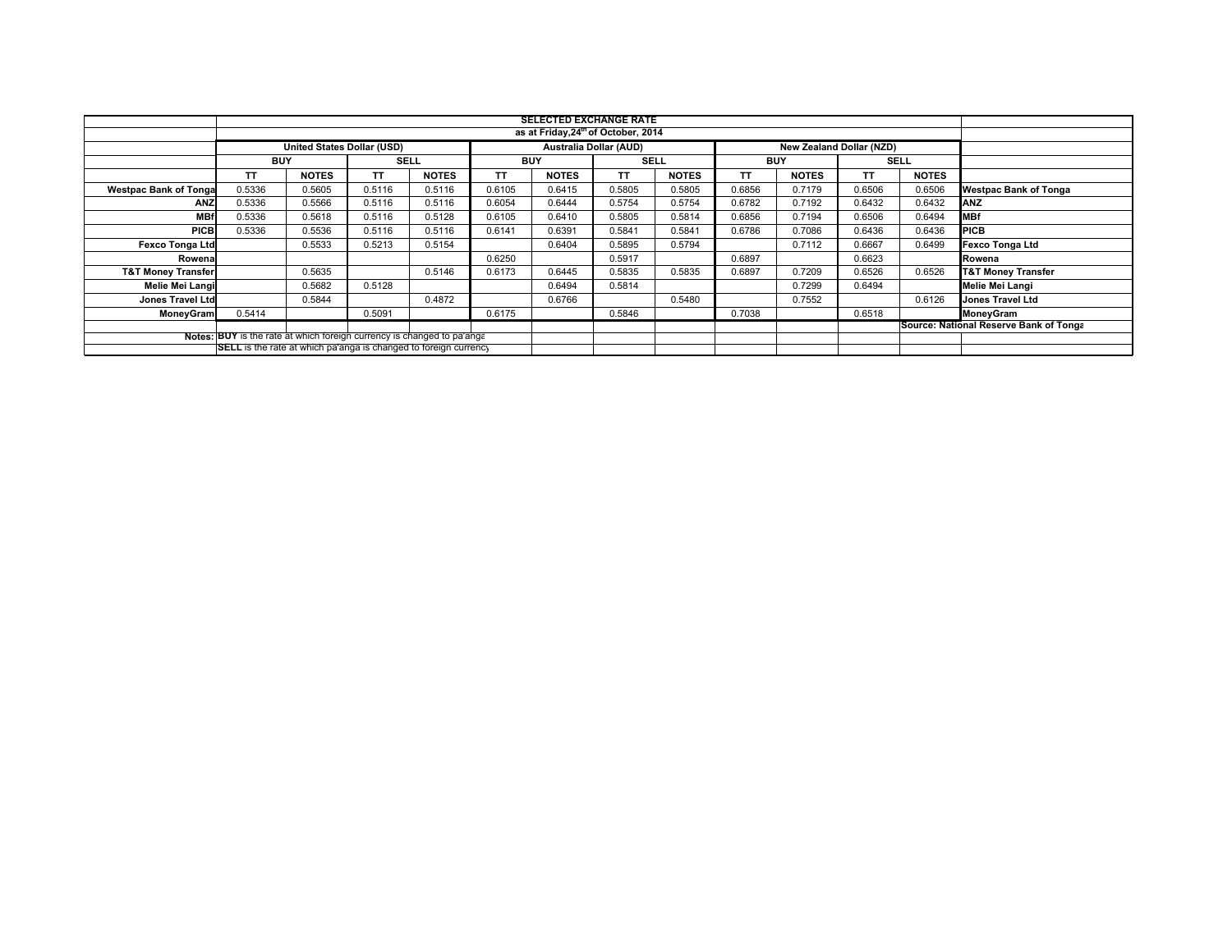|                                                                                                                                                   | <b>SELECTED EXCHANGE RATE</b>                   |                            |             |              |            |                               |             |              |                                        |                          |             |              |                               |
|---------------------------------------------------------------------------------------------------------------------------------------------------|-------------------------------------------------|----------------------------|-------------|--------------|------------|-------------------------------|-------------|--------------|----------------------------------------|--------------------------|-------------|--------------|-------------------------------|
|                                                                                                                                                   | as at Friday, 24 <sup>th</sup> of October, 2014 |                            |             |              |            |                               |             |              |                                        |                          |             |              |                               |
|                                                                                                                                                   |                                                 | United States Dollar (USD) |             |              |            | <b>Australia Dollar (AUD)</b> |             |              |                                        | New Zealand Dollar (NZD) |             |              |                               |
|                                                                                                                                                   | <b>BUY</b>                                      |                            | <b>SELL</b> |              | <b>BUY</b> |                               | <b>SELL</b> |              | <b>BUY</b>                             |                          | <b>SELL</b> |              |                               |
|                                                                                                                                                   | TΤ                                              | <b>NOTES</b>               | ΤT          | <b>NOTES</b> | TΤ         | <b>NOTES</b>                  | TΤ          | <b>NOTES</b> | TΤ                                     | <b>NOTES</b>             | TΤ          | <b>NOTES</b> |                               |
| <b>Westpac Bank of Tonga</b>                                                                                                                      | 0.5336                                          | 0.5605                     | 0.5116      | 0.5116       | 0.6105     | 0.6415                        | 0.5805      | 0.5805       | 0.6856                                 | 0.7179                   | 0.6506      | 0.6506       | <b>Westpac Bank of Tonga</b>  |
| <b>ANZ</b>                                                                                                                                        | 0.5336                                          | 0.5566                     | 0.5116      | 0.5116       | 0.6054     | 0.6444                        | 0.5754      | 0.5754       | 0.6782                                 | 0.7192                   | 0.6432      | 0.6432       | <b>ANZ</b>                    |
| <b>MBf</b>                                                                                                                                        | 0.5336                                          | 0.5618                     | 0.5116      | 0.5128       | 0.6105     | 0.6410                        | 0.5805      | 0.5814       | 0.6856                                 | 0.7194                   | 0.6506      | 0.6494       | <b>MBf</b>                    |
| <b>PICB</b>                                                                                                                                       | 0.5336                                          | 0.5536                     | 0.5116      | 0.5116       | 0.6141     | 0.6391                        | 0.5841      | 0.5841       | 0.6786                                 | 0.7086                   | 0.6436      | 0.6436       | <b>PICB</b>                   |
| <b>Fexco Tonga Ltd</b>                                                                                                                            |                                                 | 0.5533                     | 0.5213      | 0.5154       |            | 0.6404                        | 0.5895      | 0.5794       |                                        | 0.7112                   | 0.6667      | 0.6499       | Fexco Tonga Ltd               |
| Rowena                                                                                                                                            |                                                 |                            |             |              | 0.6250     |                               | 0.5917      |              | 0.6897                                 |                          | 0.6623      |              | Rowena                        |
| <b>T&amp;T Money Transfer</b>                                                                                                                     |                                                 | 0.5635                     |             | 0.5146       | 0.6173     | 0.6445                        | 0.5835      | 0.5835       | 0.6897                                 | 0.7209                   | 0.6526      | 0.6526       | <b>T&amp;T Money Transfer</b> |
| Melie Mei Langi                                                                                                                                   |                                                 | 0.5682                     | 0.5128      |              |            | 0.6494                        | 0.5814      |              |                                        | 0.7299                   | 0.6494      |              | <b>Melie Mei Langi</b>        |
| <b>Jones Travel Ltd</b>                                                                                                                           |                                                 | 0.5844                     |             | 0.4872       |            | 0.6766                        |             | 0.5480       |                                        | 0.7552                   |             | 0.6126       | <b>Jones Travel Ltd</b>       |
| MoneyGram                                                                                                                                         | 0.5414                                          |                            | 0.5091      |              | 0.6175     |                               | 0.5846      |              | 0.7038                                 |                          | 0.6518      |              | MoneyGram                     |
|                                                                                                                                                   |                                                 |                            |             |              |            |                               |             |              | Source: National Reserve Bank of Tonga |                          |             |              |                               |
| Notes: BUY is the rate at which foreign currency is changed to pa'ange<br><b>SELL</b> is the rate at which pa'anga is changed to foreign currency |                                                 |                            |             |              |            |                               |             |              |                                        |                          |             |              |                               |
|                                                                                                                                                   |                                                 |                            |             |              |            |                               |             |              |                                        |                          |             |              |                               |